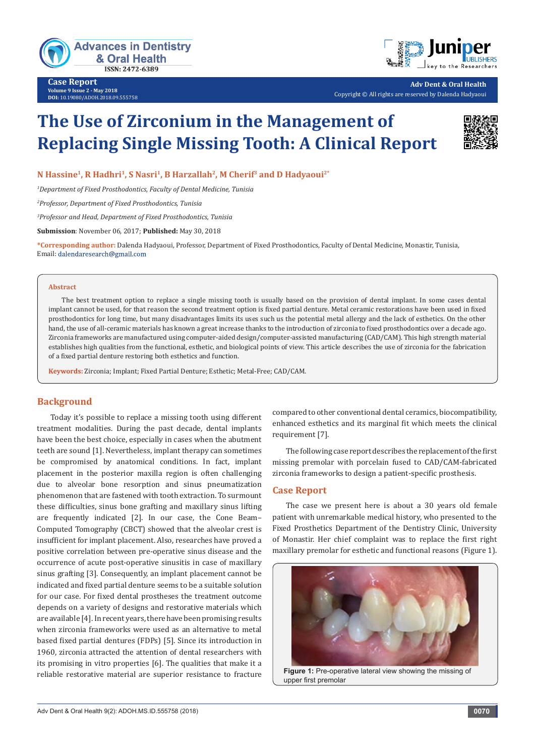

**Case Report Volume 9 Issue 2 - May 2018 DOI:** [10.19080/ADOH.2018.09.555758](http://dx.doi.org/10.19080/ADOH.2018.09.555758)



**Adv Dent & Oral Health** Copyright © All rights are reserved by Dalenda Hadyaoui

# **The Use of Zirconium in the Management of Replacing Single Missing Tooth: A Clinical Report**



## **N Hassine1, R Hadhri1, S Nasri1, B Harzallah2, M Cherif3 and D Hadyaoui2\***

*1 Department of Fixed Prosthodontics, Faculty of Dental Medicine, Tunisia* 

*2 Professor, Department of Fixed Prosthodontics, Tunisia* 

*3 Professor and Head, Department of Fixed Prosthodontics, Tunisia* 

**Submission**: November 06, 2017; **Published:** May 30, 2018

**\*Corresponding author:** Dalenda Hadyaoui, Professor, Department of Fixed Prosthodontics, Faculty of Dental Medicine, Monastir, Tunisia, Email: dalendaresearch@gmail.com

#### **Abstract**

The best treatment option to replace a single missing tooth is usually based on the provision of dental implant. In some cases dental implant cannot be used, for that reason the second treatment option is fixed partial denture. Metal ceramic restorations have been used in fixed prosthodontics for long time, but many disadvantages limits its uses such us the potential metal allergy and the lack of esthetics. On the other hand, the use of all-ceramic materials has known a great increase thanks to the introduction of zirconia to fixed prosthodontics over a decade ago. Zirconia frameworks are manufactured using computer-aided design/computer-assisted manufacturing (CAD/CAM). This high strength material establishes high qualities from the functional, esthetic, and biological points of view. This article describes the use of zirconia for the fabrication of a fixed partial denture restoring both esthetics and function.

**Keywords:** Zirconia; Implant; Fixed Partial Denture; Esthetic; Metal-Free; CAD/CAM.

## **Background**

Today it's possible to replace a missing tooth using different treatment modalities. During the past decade, dental implants have been the best choice, especially in cases when the abutment teeth are sound [1]. Nevertheless, implant therapy can sometimes be compromised by anatomical conditions. In fact, implant placement in the posterior maxilla region is often challenging due to alveolar bone resorption and sinus pneumatization phenomenon that are fastened with tooth extraction. To surmount these difficulties, sinus bone grafting and maxillary sinus lifting are frequently indicated [2]. In our case, the Cone Beam– Computed Tomography (CBCT) showed that the alveolar crest is insufficient for implant placement. Also, researches have proved a positive correlation between pre-operative sinus disease and the occurrence of acute post-operative sinusitis in case of maxillary sinus grafting [3]. Consequently, an implant placement cannot be indicated and fixed partial denture seems to be a suitable solution for our case. For fixed dental prostheses the treatment outcome depends on a variety of designs and restorative materials which are available [4]. In recent years, there have been promising results when zirconia frameworks were used as an alternative to metal based fixed partial dentures (FDPs) [5]. Since its introduction in 1960, zirconia attracted the attention of dental researchers with its promising in vitro properties [6]. The qualities that make it a reliable restorative material are superior resistance to fracture compared to other conventional dental ceramics, biocompatibility, enhanced esthetics and its marginal fit which meets the clinical requirement [7].

The following case report describes the replacement of the first missing premolar with porcelain fused to CAD/CAM-fabricated zirconia frameworks to design a patient-specific prosthesis.

#### **Case Report**

The case we present here is about a 30 years old female patient with unremarkable medical history, who presented to the Fixed Prosthetics Department of the Dentistry Clinic, University of Monastir. Her chief complaint was to replace the first right maxillary premolar for esthetic and functional reasons (Figure 1).

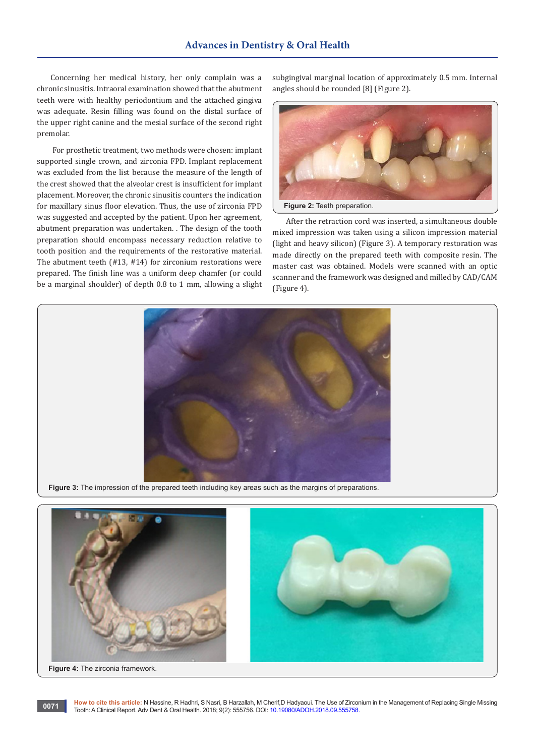Concerning her medical history, her only complain was a chronic sinusitis. Intraoral examination showed that the abutment teeth were with healthy periodontium and the attached gingiva was adequate. Resin filling was found on the distal surface of the upper right canine and the mesial surface of the second right premolar.

 For prosthetic treatment, two methods were chosen: implant supported single crown, and zirconia FPD. Implant replacement was excluded from the list because the measure of the length of the crest showed that the alveolar crest is insufficient for implant placement. Moreover, the chronic sinusitis counters the indication for maxillary sinus floor elevation. Thus, the use of zirconia FPD was suggested and accepted by the patient. Upon her agreement, abutment preparation was undertaken. . The design of the tooth preparation should encompass necessary reduction relative to tooth position and the requirements of the restorative material. The abutment teeth (#13, #14) for zirconium restorations were prepared. The finish line was a uniform deep chamfer (or could be a marginal shoulder) of depth 0.8 to 1 mm, allowing a slight

subgingival marginal location of approximately 0.5 mm. Internal angles should be rounded [8] (Figure 2).



After the retraction cord was inserted, a simultaneous double mixed impression was taken using a silicon impression material (light and heavy silicon) (Figure 3). A temporary restoration was made directly on the prepared teeth with composite resin. The master cast was obtained. Models were scanned with an optic scanner and the framework was designed and milled by CAD/CAM (Figure 4).





**How to cite this article:** N Hassine, R Hadhri, S Nasri, B Harzallah, M Cherif,D Hadyaoui. The Use of Zirconium in the Management of Replacing Single Missing Tow to cite this article: IN Hassine, K Hagnit, S Nash, B Harzalian, M Cheni,D Hagyaoui. The Use of Zircor Tooth: A Clinical Report. Adv Dent & Oral Health. 2018; 9(2): 555756. DOI: [10.19080/ADOH.2018.09.555758.](http://dx.doi.org/10.19080/ADOH.2018.09.555758)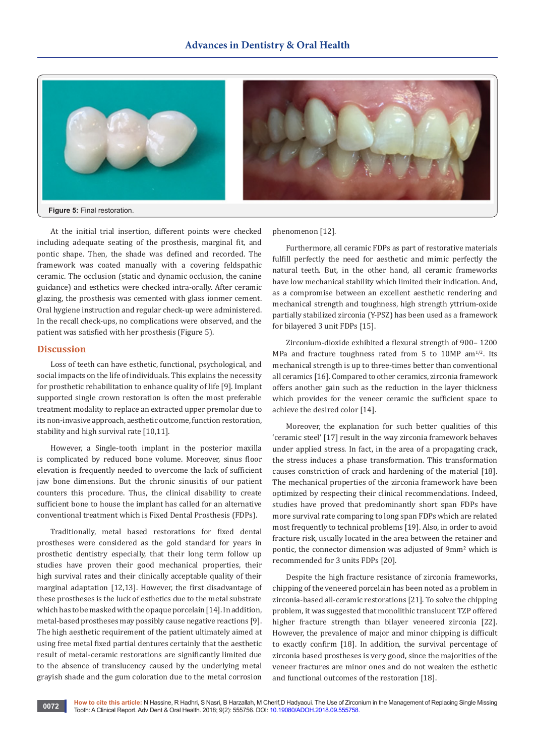

At the initial trial insertion, different points were checked including adequate seating of the prosthesis, marginal fit, and pontic shape. Then, the shade was defined and recorded. The framework was coated manually with a covering feldspathic ceramic. The occlusion (static and dynamic occlusion, the canine guidance) and esthetics were checked intra-orally. After ceramic glazing, the prosthesis was cemented with glass ionmer cement. Oral hygiene instruction and regular check-up were administered. In the recall check-ups, no complications were observed, and the patient was satisfied with her prosthesis (Figure 5).

### **Discussion**

Loss of teeth can have esthetic, functional, psychological, and social impacts on the life of individuals. This explains the necessity for prosthetic rehabilitation to enhance quality of life [9]. Implant supported single crown restoration is often the most preferable treatment modality to replace an extracted upper premolar due to its non-invasive approach, aesthetic outcome, function restoration, stability and high survival rate [10,11].

However, a Single-tooth implant in the posterior maxilla is complicated by reduced bone volume. Moreover, sinus floor elevation is frequently needed to overcome the lack of sufficient jaw bone dimensions. But the chronic sinusitis of our patient counters this procedure. Thus, the clinical disability to create sufficient bone to house the implant has called for an alternative conventional treatment which is Fixed Dental Prosthesis (FDPs).

Traditionally, metal based restorations for fixed dental prostheses were considered as the gold standard for years in prosthetic dentistry especially, that their long term follow up studies have proven their good mechanical properties, their high survival rates and their clinically acceptable quality of their marginal adaptation [12,13]. However, the first disadvantage of these prostheses is the luck of esthetics due to the metal substrate which has to be masked with the opaque porcelain [14]. In addition, metal-based prostheses may possibly cause negative reactions [9]. The high aesthetic requirement of the patient ultimately aimed at using free metal fixed partial dentures certainly that the aesthetic result of metal-ceramic restorations are significantly limited due to the absence of translucency caused by the underlying metal grayish shade and the gum coloration due to the metal corrosion

phenomenon [12].

Furthermore, all ceramic FDPs as part of restorative materials fulfill perfectly the need for aesthetic and mimic perfectly the natural teeth. But, in the other hand, all ceramic frameworks have low mechanical stability which limited their indication. And, as a compromise between an excellent aesthetic rendering and mechanical strength and toughness, high strength yttrium-oxide partially stabilized zirconia (Y-PSZ) has been used as a framework for bilayered 3 unit FDPs [15].

Zirconium-dioxide exhibited a flexural strength of 900– 1200 MPa and fracture toughness rated from 5 to 10MP am $1/2$ . Its mechanical strength is up to three-times better than conventional all ceramics [16]. Compared to other ceramics, zirconia framework offers another gain such as the reduction in the layer thickness which provides for the veneer ceramic the sufficient space to achieve the desired color [14].

Moreover, the explanation for such better qualities of this 'ceramic steel' [17] result in the way zirconia framework behaves under applied stress. In fact, in the area of a propagating crack, the stress induces a phase transformation. This transformation causes constriction of crack and hardening of the material [18]. The mechanical properties of the zirconia framework have been optimized by respecting their clinical recommendations. Indeed, studies have proved that predominantly short span FDPs have more survival rate comparing to long span FDPs which are related most frequently to technical problems [19]. Also, in order to avoid fracture risk, usually located in the area between the retainer and pontic, the connector dimension was adjusted of 9mm<sup>2</sup> which is recommended for 3 units FDPs [20].

Despite the high fracture resistance of zirconia frameworks, chipping of the veneered porcelain has been noted as a problem in zirconia-based all-ceramic restorations [21]. To solve the chipping problem, it was suggested that monolithic translucent TZP offered higher fracture strength than bilayer veneered zirconia [22]. However, the prevalence of major and minor chipping is difficult to exactly confirm [18]. In addition, the survival percentage of zirconia based prostheses is very good, since the majorities of the veneer fractures are minor ones and do not weaken the esthetic and functional outcomes of the restoration [18].